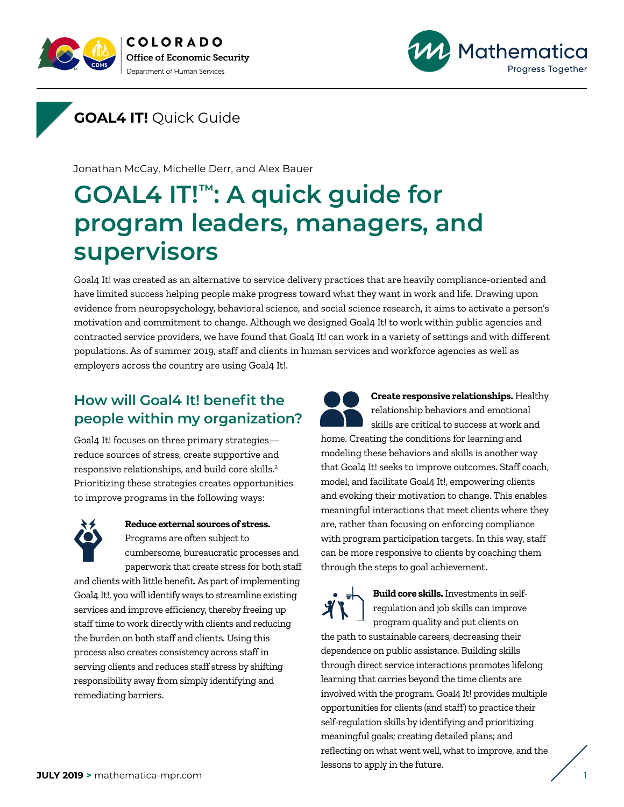



**GOAL4 IT!** Quick Guide

Jonathan McCay, Michelle Derr, and Alex Bauer

# **GOAL4 IT!™: A quick guide for program leaders, managers, and supervisors**

Goal4 It! was created as an alternative to service delivery practices that are heavily compliance-oriented and have limited success helping people make progress toward what they want in work and life. Drawing upon evidence from neuropsychology, behavioral science, and social science research, it aims to activate a person's motivation and commitment to change. Although we designed Goal4 It! to work within public agencies and contracted service providers, we have found that Goal4 It! can work in a variety of settings and with different populations. As of summer 2019, staff and clients in human services and workforce agencies as well as employers across the country are using Goal4 It!.

# **How will Goal4 It! benefit the people within my organization?**

Goal4 It! focuses on three primary strategies reduce sources of stress, create supportive and responsive relationships, and build core skills.2 Prioritizing these strategies creates opportunities to improve programs in the following ways:



#### **Reduce external sources of stress.** Programs are often subject to cumbersome, bureaucratic processes and

paperwork that create stress for both staff and clients with little benefit. As part of implementing

Goal4 It!, you will identify ways to streamline existing services and improve efficiency, thereby freeing up staff time to work directly with clients and reducing the burden on both staff and clients. Using this process also creates consistency across staff in serving clients and reduces staff stress by shifting responsibility away from simply identifying and remediating barriers.



**Create responsive relationships.** Healthy relationship behaviors and emotional skills are critical to success at work and home. Creating the conditions for learning and modeling these behaviors and skills is another way that Goal4 It! seeks to improve outcomes. Staff coach,

model, and facilitate Goal4 It!, empowering clients and evoking their motivation to change. This enables meaningful interactions that meet clients where they are, rather than focusing on enforcing compliance with program participation targets. In this way, staff can be more responsive to clients by coaching them through the steps to goal achievement.

**Build core skills.** Investments in selfregulation and job skills can improve program quality and put clients on the path to sustainable careers, decreasing their dependence on public assistance. Building skills through direct service interactions promotes lifelong learning that carries beyond the time clients are involved with the program. Goal4 It! provides multiple opportunities for clients (and staff) to practice their self-regulation skills by identifying and prioritizing meaningful goals; creating detailed plans; and reflecting on what went well, what to improve, and the lessons to apply in the future.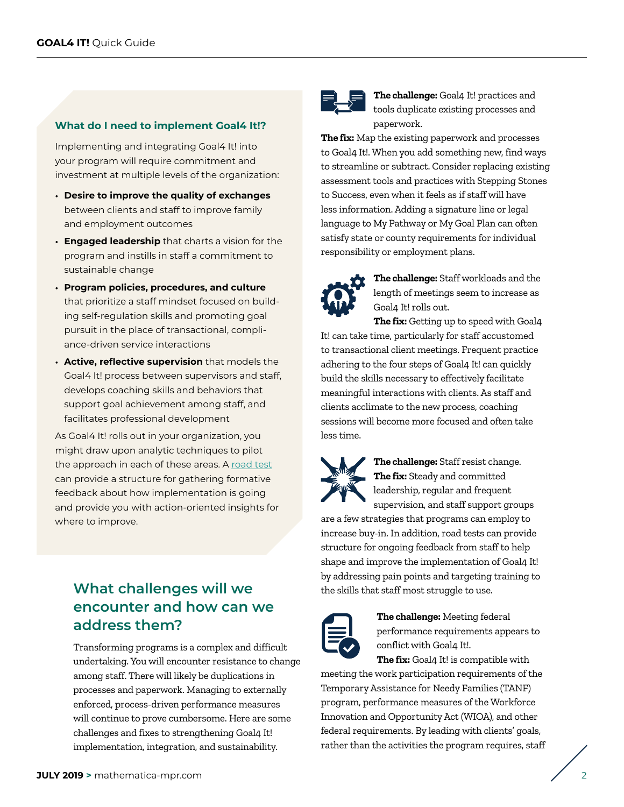#### **What do I need to implement Goal4 It!?**

Implementing and integrating Goal4 It! into your program will require commitment and investment at multiple levels of the organization:

- **Desire to improve the quality of exchanges** between clients and staff to improve family and employment outcomes
- **Engaged leadership** that charts a vision for the program and instills in staff a commitment to sustainable change
- **Program policies, procedures, and culture** that prioritize a staff mindset focused on building self-regulation skills and promoting goal pursuit in the place of transactional, compliance-driven service interactions
- **Active, reflective supervision** that models the Goal4 It! process between supervisors and staff, develops coaching skills and behaviors that support goal achievement among staff, and facilitates professional development

As Goal4 It! rolls out in your organization, you might draw upon analytic techniques to pilot the approach in each of these areas. A [road test](https://www.mathematica-mpr.com/our-publications-and-findings/publications/using-a-road-test-to-improve-human-services-programs-a-primer) can provide a structure for gathering formative feedback about how implementation is going and provide you with action-oriented insights for where to improve.

## **What challenges will we encounter and how can we address them?**

Transforming programs is a complex and difficult undertaking. You will encounter resistance to change among staff. There will likely be duplications in processes and paperwork. Managing to externally enforced, process-driven performance measures will continue to prove cumbersome. Here are some challenges and fixes to strengthening Goal4 It! implementation, integration, and sustainability.



**The challenge:** Goal4 It! practices and tools duplicate existing processes and paperwork.

**The fix:** Map the existing paperwork and processes to Goal4 It!. When you add something new, find ways to streamline or subtract. Consider replacing existing assessment tools and practices with Stepping Stones to Success, even when it feels as if staff will have less information. Adding a signature line or legal language to My Pathway or My Goal Plan can often satisfy state or county requirements for individual responsibility or employment plans.



**The challenge:** Staff workloads and the length of meetings seem to increase as Goal4 It! rolls out.

**The fix:** Getting up to speed with Goal4 It! can take time, particularly for staff accustomed to transactional client meetings. Frequent practice adhering to the four steps of Goal4 It! can quickly build the skills necessary to effectively facilitate meaningful interactions with clients. As staff and clients acclimate to the new process, coaching sessions will become more focused and often take less time.



**The challenge:** Staff resist change. **The fix:** Steady and committed leadership, regular and frequent supervision, and staff support groups

are a few strategies that programs can employ to increase buy-in. In addition, road tests can provide structure for ongoing feedback from staff to help shape and improve the implementation of Goal4 It! by addressing pain points and targeting training to the skills that staff most struggle to use.



**The challenge:** Meeting federal performance requirements appears to conflict with Goal4 It!.

**The fix:** Goal4 It! is compatible with meeting the work participation requirements of the Temporary Assistance for Needy Families (TANF) program, performance measures of the Workforce Innovation and Opportunity Act (WIOA), and other federal requirements. By leading with clients' goals, rather than the activities the program requires, staff